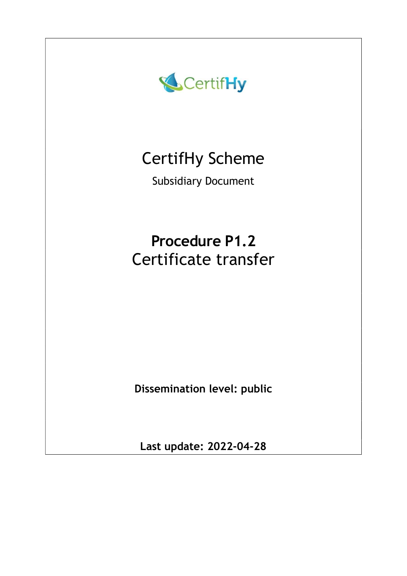

# CertifHy Scheme

Subsidiary Document

# Procedure P1.2 Certificate transfer

Dissemination level: public

Last update: 2022-04-28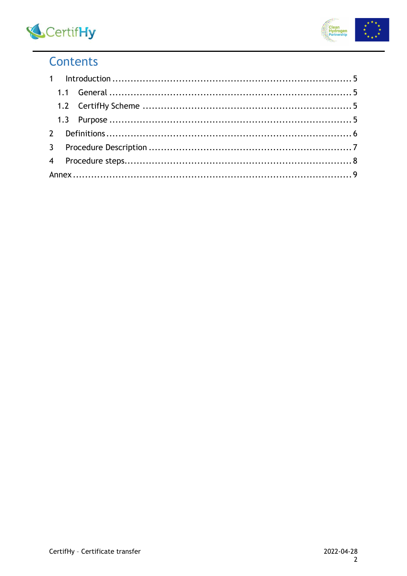



### Contents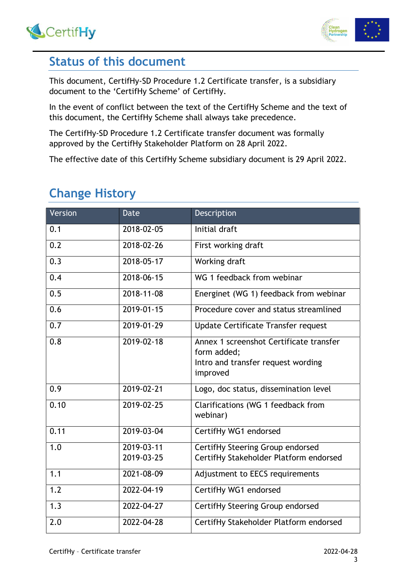



### Status of this document

This document, CertifHy-SD Procedure 1.2 Certificate transfer, is a subsidiary document to the 'CertifHy Scheme' of CertifHy.

In the event of conflict between the text of the CertifHy Scheme and the text of this document, the CertifHy Scheme shall always take precedence.

The CertifHy-SD Procedure 1.2 Certificate transfer document was formally approved by the CertifHy Stakeholder Platform on 28 April 2022.

The effective date of this CertifHy Scheme subsidiary document is 29 April 2022.

## Change History

| Version          | Date             | Description                                                                                              |  |
|------------------|------------------|----------------------------------------------------------------------------------------------------------|--|
| 0.1              | 2018-02-05       | Initial draft                                                                                            |  |
| 0.2              | 2018-02-26       | First working draft                                                                                      |  |
| $\overline{0.3}$ | 2018-05-17       | Working draft                                                                                            |  |
| 0.4              | 2018-06-15       | WG 1 feedback from webinar                                                                               |  |
| 0.5              | 2018-11-08       | Energinet (WG 1) feedback from webinar                                                                   |  |
| 0.6              | 2019-01-15       | Procedure cover and status streamlined                                                                   |  |
| 0.7              | 2019-01-29       | Update Certificate Transfer request                                                                      |  |
| 0.8              | 2019-02-18       | Annex 1 screenshot Certificate transfer<br>form added;<br>Intro and transfer request wording<br>improved |  |
| 0.9              | 2019-02-21       | Logo, doc status, dissemination level                                                                    |  |
| 0.10             | $2019 - 02 - 25$ | Clarifications (WG 1 feedback from<br>webinar)                                                           |  |
| 0.11             | 2019-03-04       | CertifHy WG1 endorsed                                                                                    |  |
| 1.0              | 2019-03-11       | CertifHy Steering Group endorsed                                                                         |  |
|                  | 2019-03-25       | CertifHy Stakeholder Platform endorsed                                                                   |  |
| 1.1              | 2021-08-09       | Adjustment to EECS requirements                                                                          |  |
| 1.2              | 2022-04-19       | CertifHy WG1 endorsed                                                                                    |  |
| 1.3              | 2022-04-27       | CertifHy Steering Group endorsed                                                                         |  |
| 2.0              | 2022-04-28       | CertifHy Stakeholder Platform endorsed                                                                   |  |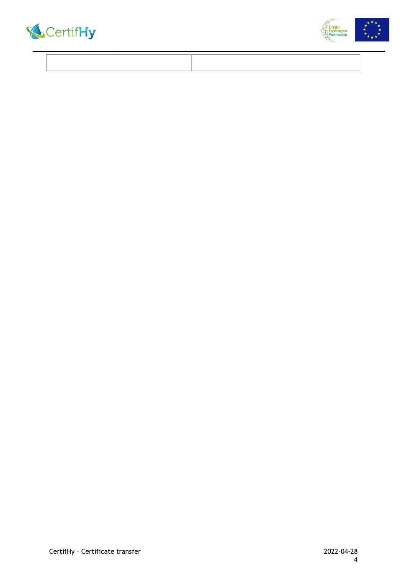

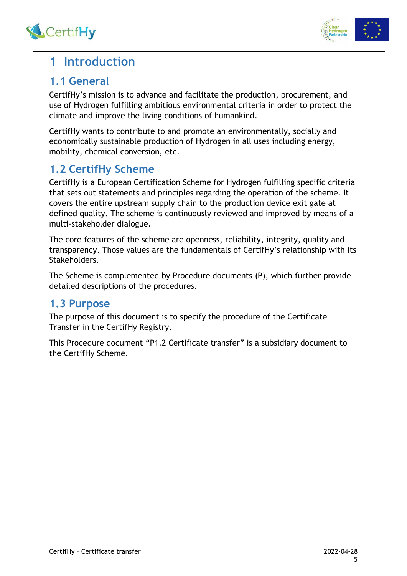



### 1 Introduction

### 1.1 General

CertifHy's mission is to advance and facilitate the production, procurement, and use of Hydrogen fulfilling ambitious environmental criteria in order to protect the climate and improve the living conditions of humankind.

CertifHy wants to contribute to and promote an environmentally, socially and economically sustainable production of Hydrogen in all uses including energy, mobility, chemical conversion, etc.

### 1.2 CertifHy Scheme

CertifHy is a European Certification Scheme for Hydrogen fulfilling specific criteria that sets out statements and principles regarding the operation of the scheme. It covers the entire upstream supply chain to the production device exit gate at defined quality. The scheme is continuously reviewed and improved by means of a multi-stakeholder dialogue.

The core features of the scheme are openness, reliability, integrity, quality and transparency. Those values are the fundamentals of CertifHy's relationship with its Stakeholders.

The Scheme is complemented by Procedure documents (P), which further provide detailed descriptions of the procedures.

#### 1.3 Purpose

The purpose of this document is to specify the procedure of the Certificate Transfer in the CertifHy Registry.

This Procedure document "P1.2 Certificate transfer" is a subsidiary document to the CertifHy Scheme.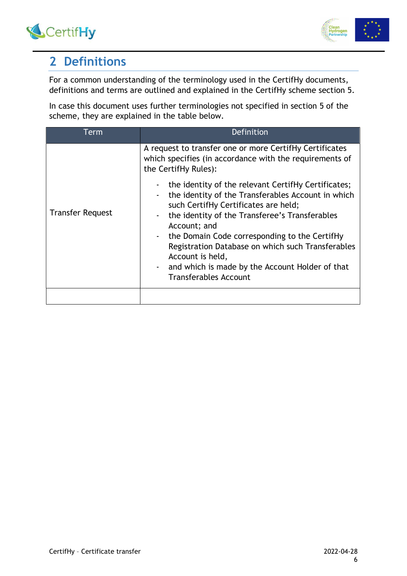



### 2 Definitions

For a common understanding of the terminology used in the CertifHy documents, definitions and terms are outlined and explained in the CertifHy scheme section 5.

In case this document uses further terminologies not specified in section 5 of the scheme, they are explained in the table below.

| Term                    | Definition                                                                                                                                                                                                                                                                                                                                                                                                                                                                 |  |  |
|-------------------------|----------------------------------------------------------------------------------------------------------------------------------------------------------------------------------------------------------------------------------------------------------------------------------------------------------------------------------------------------------------------------------------------------------------------------------------------------------------------------|--|--|
|                         | A request to transfer one or more CertifHy Certificates<br>which specifies (in accordance with the requirements of<br>the CertifHy Rules):                                                                                                                                                                                                                                                                                                                                 |  |  |
| <b>Transfer Request</b> | the identity of the relevant CertifHy Certificates;<br>$\qquad \qquad \blacksquare$<br>the identity of the Transferables Account in which<br>such CertifHy Certificates are held;<br>the identity of the Transferee's Transferables<br>Account; and<br>the Domain Code corresponding to the CertifHy<br>-<br>Registration Database on which such Transferables<br>Account is held,<br>and which is made by the Account Holder of that<br>۰<br><b>Transferables Account</b> |  |  |
|                         |                                                                                                                                                                                                                                                                                                                                                                                                                                                                            |  |  |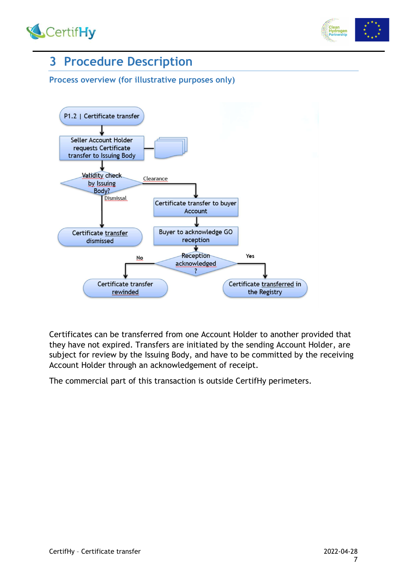



### 3 Procedure Description

Process overview (for illustrative purposes only)



Certificates can be transferred from one Account Holder to another provided that they have not expired. Transfers are initiated by the sending Account Holder, are subject for review by the Issuing Body, and have to be committed by the receiving Account Holder through an acknowledgement of receipt.

The commercial part of this transaction is outside CertifHy perimeters.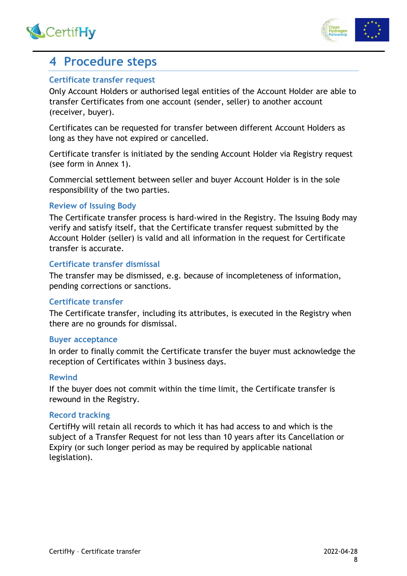



### 4 Procedure steps

#### Certificate transfer request

Only Account Holders or authorised legal entities of the Account Holder are able to transfer Certificates from one account (sender, seller) to another account (receiver, buyer).

Certificates can be requested for transfer between different Account Holders as long as they have not expired or cancelled.

Certificate transfer is initiated by the sending Account Holder via Registry request (see form in Annex 1).

Commercial settlement between seller and buyer Account Holder is in the sole responsibility of the two parties.

#### Review of Issuing Body

The Certificate transfer process is hard-wired in the Registry. The Issuing Body may verify and satisfy itself, that the Certificate transfer request submitted by the Account Holder (seller) is valid and all information in the request for Certificate transfer is accurate.

#### Certificate transfer dismissal

The transfer may be dismissed, e.g. because of incompleteness of information, pending corrections or sanctions.

#### Certificate transfer

The Certificate transfer, including its attributes, is executed in the Registry when there are no grounds for dismissal.

#### Buyer acceptance

In order to finally commit the Certificate transfer the buyer must acknowledge the reception of Certificates within 3 business days.

#### Rewind

If the buyer does not commit within the time limit, the Certificate transfer is rewound in the Registry.

#### Record tracking

CertifHy will retain all records to which it has had access to and which is the subject of a Transfer Request for not less than 10 years after its Cancellation or Expiry (or such longer period as may be required by applicable national legislation).